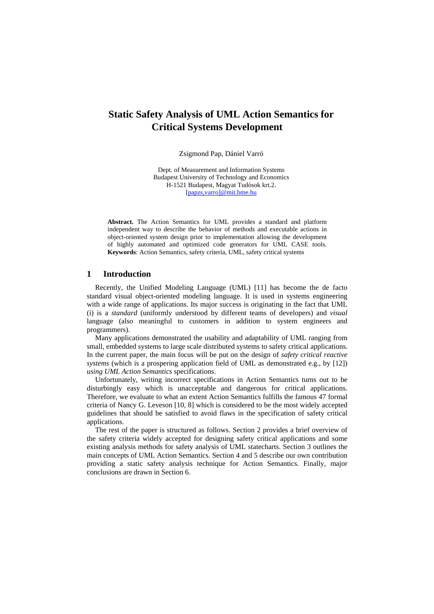# **Static Safety Analysis of UML Action Semantics for Critical Systems Development**

Zsigmond Pap, Dániel Varró

Dept. of Measurement and Information Systems Budapest University of Technology and Economics H-1521 Budapest, Magyat Tudósok krt.2. [papzs,varro]@mit.bme.hu

**Abstract.** The Action Semantics for UML provides a standard and platform independent way to describe the behavior of methods and executable actions in object-oriented system design prior to implementation allowing the development of highly automated and optimized code generators for UML CASE tools. **Keywords**: Action Semantics, safety criteria, UML, safety critical systems

# **1 Introduction**

Recently, the Unified Modeling Language (UML) [11] has become the de facto standard visual object-oriented modeling language. It is used in systems engineering with a wide range of applications. Its major success is originating in the fact that UML (i) is a *standard* (uniformly understood by different teams of developers) and *visual*  language (also meaningful to customers in addition to system engineers and programmers).

Many applications demonstrated the usability and adaptability of UML ranging from small, embedded systems to large scale distributed systems to safety critical applications. In the current paper, the main focus will be put on the design of *safety critical reactive systems* (which is a prospering application field of UML as demonstrated e.g., by [12]) *using UML Action Semantics* specifications.

Unfortunately, writing incorrect specifications in Action Semantics turns out to be disturbingly easy which is unacceptable and dangerous for critical applications. Therefore, we evaluate to what an extent Action Semantics fulfills the famous 47 formal criteria of Nancy G. Leveson [10, 8] which is considered to be the most widely accepted guidelines that should be satisfied to avoid flaws in the specification of safety critical applications.

The rest of the paper is structured as follows. Section 2 provides a brief overview of the safety criteria widely accepted for designing safety critical applications and some existing analysis methods for safety analysis of UML statecharts. Section 3 outlines the main concepts of UML Action Semantics. Section 4 and 5 describe our own contribution providing a static safety analysis technique for Action Semantics. Finally, major conclusions are drawn in Section 6.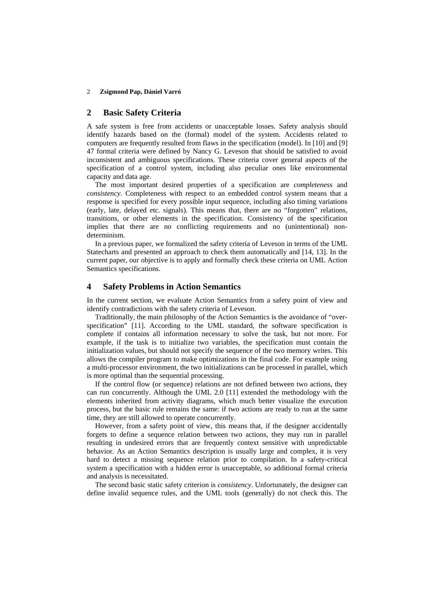#### 2 **Zsigmond Pap, Dániel Varró**

#### **2 Basic Safety Criteria**

A safe system is free from accidents or unacceptable losses. Safety analysis should identify hazards based on the (formal) model of the system. Accidents related to computers are frequently resulted from flaws in the specification (model). In [10] and [9] 47 formal criteria were defined by Nancy G. Leveson that should be satisfied to avoid inconsistent and ambiguous specifications. These criteria cover general aspects of the specification of a control system, including also peculiar ones like environmental capacity and data age.

The most important desired properties of a specification are *completeness* and *consistency*. Completeness with respect to an embedded control system means that a response is specified for every possible input sequence, including also timing variations (early, late, delayed etc. signals). This means that, there are no "forgotten" relations, transitions, or other elements in the specification. Consistency of the specification implies that there are no conflicting requirements and no (unintentional) nondeterminism.

In a previous paper, we formalized the safety criteria of Leveson in terms of the UML Statecharts and presented an approach to check them automatically and [14, 13]. In the current paper, our objective is to apply and formally check these criteria on UML Action Semantics specifications.

## **4 Safety Problems in Action Semantics**

In the current section, we evaluate Action Semantics from a safety point of view and identify contradictions with the safety criteria of Leveson.

Traditionally, the main philosophy of the Action Semantics is the avoidance of "overspecification" [11]. According to the UML standard, the software specification is complete if contains all information necessary to solve the task, but not more. For example, if the task is to initialize two variables, the specification must contain the initialization values, but should not specify the sequence of the two memory writes. This allows the compiler program to make optimizations in the final code. For example using a multi-processor environment, the two initializations can be processed in parallel, which is more optimal than the sequential processing.

If the control flow (or sequence) relations are not defined between two actions, they can run concurrently. Although the UML 2.0 [11] extended the methodology with the elements inherited from activity diagrams, which much better visualize the execution process, but the basic rule remains the same: if two actions are ready to run at the same time, they are still allowed to operate concurrently.

However, from a safety point of view, this means that, if the designer accidentally forgets to define a sequence relation between two actions, they may run in parallel resulting in undesired errors that are frequently context sensitive with unpredictable behavior. As an Action Semantics description is usually large and complex, it is very hard to detect a missing sequence relation prior to compilation. In a safety-critical system a specification with a hidden error is unacceptable, so additional formal criteria and analysis is necessitated.

The second basic static safety criterion is *consistency*. Unfortunately, the designer can define invalid sequence rules, and the UML tools (generally) do not check this. The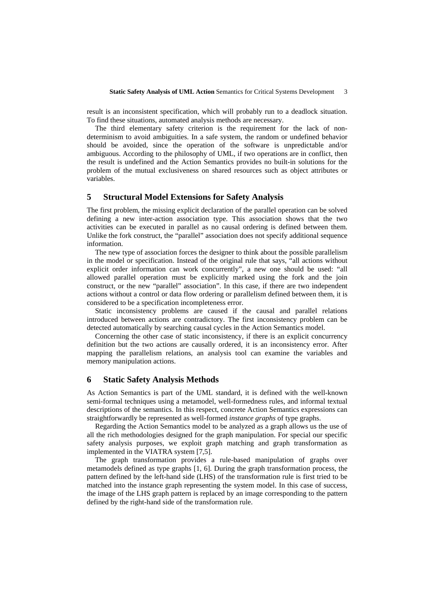result is an inconsistent specification, which will probably run to a deadlock situation. To find these situations, automated analysis methods are necessary.

The third elementary safety criterion is the requirement for the lack of nondeterminism to avoid ambiguities. In a safe system, the random or undefined behavior should be avoided, since the operation of the software is unpredictable and/or ambiguous. According to the philosophy of UML, if two operations are in conflict, then the result is undefined and the Action Semantics provides no built-in solutions for the problem of the mutual exclusiveness on shared resources such as object attributes or variables.

## **5 Structural Model Extensions for Safety Analysis**

The first problem, the missing explicit declaration of the parallel operation can be solved defining a new inter-action association type. This association shows that the two activities can be executed in parallel as no causal ordering is defined between them. Unlike the fork construct, the "parallel" association does not specify additional sequence information.

The new type of association forces the designer to think about the possible parallelism in the model or specification. Instead of the original rule that says, "all actions without explicit order information can work concurrently", a new one should be used: "all allowed parallel operation must be explicitly marked using the fork and the join construct, or the new "parallel" association". In this case, if there are two independent actions without a control or data flow ordering or parallelism defined between them, it is considered to be a specification incompleteness error.

Static inconsistency problems are caused if the causal and parallel relations introduced between actions are contradictory. The first inconsistency problem can be detected automatically by searching causal cycles in the Action Semantics model.

Concerning the other case of static inconsistency, if there is an explicit concurrency definition but the two actions are causally ordered, it is an inconsistency error. After mapping the parallelism relations, an analysis tool can examine the variables and memory manipulation actions.

#### **6 Static Safety Analysis Methods**

As Action Semantics is part of the UML standard, it is defined with the well-known semi-formal techniques using a metamodel, well-formedness rules, and informal textual descriptions of the semantics. In this respect, concrete Action Semantics expressions can straightforwardly be represented as well-formed *instance graphs* of type graphs.

Regarding the Action Semantics model to be analyzed as a graph allows us the use of all the rich methodologies designed for the graph manipulation. For special our specific safety analysis purposes, we exploit graph matching and graph transformation as implemented in the VIATRA system [7,5].

The graph transformation provides a rule-based manipulation of graphs over metamodels defined as type graphs [1, 6]. During the graph transformation process, the pattern defined by the left-hand side (LHS) of the transformation rule is first tried to be matched into the instance graph representing the system model. In this case of success, the image of the LHS graph pattern is replaced by an image corresponding to the pattern defined by the right-hand side of the transformation rule.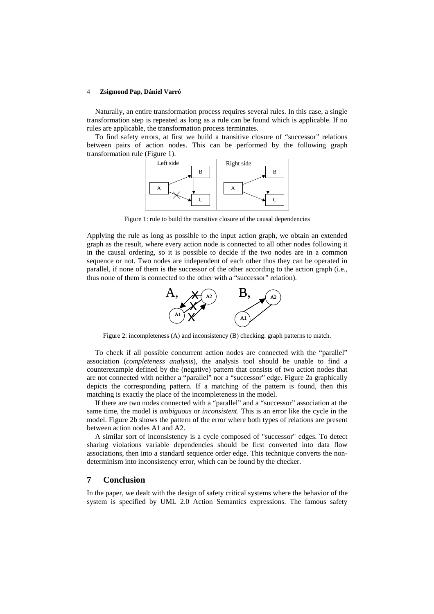#### 4 **Zsigmond Pap, Dániel Varró**

Naturally, an entire transformation process requires several rules. In this case, a single transformation step is repeated as long as a rule can be found which is applicable. If no rules are applicable, the transformation process terminates.

To find safety errors, at first we build a transitive closure of "successor" relations between pairs of action nodes. This can be performed by the following graph transformation rule (Figure 1).



Figure 1: rule to build the transitive closure of the causal dependencies

Applying the rule as long as possible to the input action graph, we obtain an extended graph as the result, where every action node is connected to all other nodes following it in the causal ordering, so it is possible to decide if the two nodes are in a common sequence or not. Two nodes are independent of each other thus they can be operated in parallel, if none of them is the successor of the other according to the action graph (i.e., thus none of them is connected to the other with a "successor" relation).



Figure 2: incompleteness (A) and inconsistency (B) checking: graph patterns to match.

To check if all possible concurrent action nodes are connected with the "parallel" association (*completeness analysis*), the analysis tool should be unable to find a counterexample defined by the (negative) pattern that consists of two action nodes that are not connected with neither a "parallel" nor a "successor" edge. Figure 2a graphically depicts the corresponding pattern. If a matching of the pattern is found, then this matching is exactly the place of the incompleteness in the model.

If there are two nodes connected with a "parallel" and a "successor" association at the same time, the model is *ambiguous* or *inconsistent*. This is an error like the cycle in the model. Figure 2b shows the pattern of the error where both types of relations are present between action nodes A1 and A2.

A similar sort of inconsistency is a cycle composed of "successor" edges. To detect sharing violations variable dependencies should be first converted into data flow associations, then into a standard sequence order edge. This technique converts the nondeterminism into inconsistency error, which can be found by the checker.

## **7 Conclusion**

In the paper, we dealt with the design of safety critical systems where the behavior of the system is specified by UML 2.0 Action Semantics expressions. The famous safety